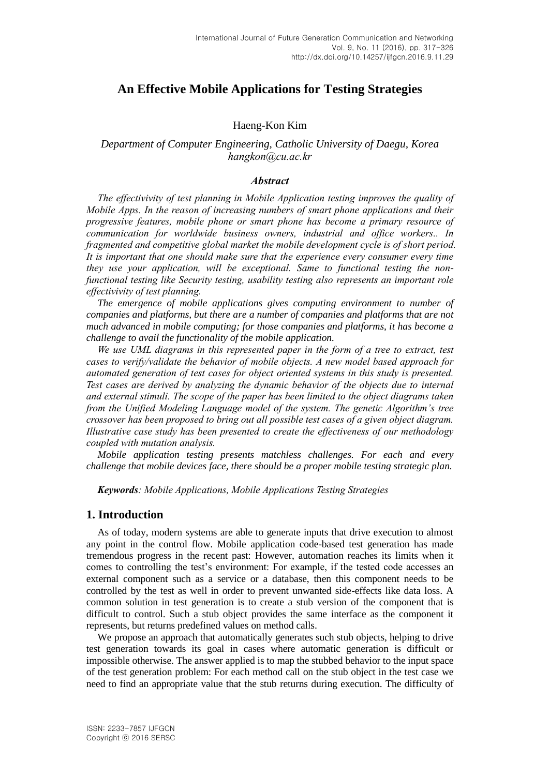# **An Effective Mobile Applications for Testing Strategies**

## Haeng-Kon Kim

# *Department of Computer Engineering, Catholic University of Daegu, Korea [hangkon@cu.ac.kr](mailto:hangkon@cu.ac.kr)*

#### *Abstract*

*The effectivivity of test planning in Mobile Application testing improves the quality of Mobile Apps. In the reason of increasing numbers of smart phone applications and their progressive features, mobile phone or smart phone has become a primary resource of communication for worldwide business owners, industrial and office workers.. In fragmented and competitive global market the mobile development cycle is of short period. It is important that one should make sure that the experience every consumer every time they use your application, will be exceptional. Same to functional testing the nonfunctional testing like Security testing, usability testing also represents an important role effectivivity of test planning.*

*The emergence of mobile applications gives computing environment to number of companies and platforms, but there are a number of companies and platforms that are not much advanced in mobile computing; for those companies and platforms, it has become a challenge to avail the functionality of the mobile application.* 

*We use UML diagrams in this represented paper in the form of a tree to extract, test cases to verify/validate the behavior of mobile objects. A new model based approach for automated generation of test cases for object oriented systems in this study is presented. Test cases are derived by analyzing the dynamic behavior of the objects due to internal and external stimuli. The scope of the paper has been limited to the object diagrams taken from the Unified Modeling Language model of the system. The genetic Algorithm's tree crossover has been proposed to bring out all possible test cases of a given object diagram. Illustrative case study has been presented to create the effectiveness of our methodology coupled with mutation analysis.*

*Mobile application testing presents matchless challenges. For each and every challenge that mobile devices face, there should be a proper mobile testing strategic plan.*

*Keywords: Mobile Applications, Mobile Applications Testing Strategies* 

### **1. Introduction**

As of today, modern systems are able to generate inputs that drive execution to almost any point in the control flow. Mobile application code-based test generation has made tremendous progress in the recent past: However, automation reaches its limits when it comes to controlling the test's environment: For example, if the tested code accesses an external component such as a service or a database, then this component needs to be controlled by the test as well in order to prevent unwanted side-effects like data loss. A common solution in test generation is to create a stub version of the component that is difficult to control. Such a stub object provides the same interface as the component it represents, but returns predefined values on method calls.

We propose an approach that automatically generates such stub objects, helping to drive test generation towards its goal in cases where automatic generation is difficult or impossible otherwise. The answer applied is to map the stubbed behavior to the input space of the test generation problem: For each method call on the stub object in the test case we need to find an appropriate value that the stub returns during execution. The difficulty of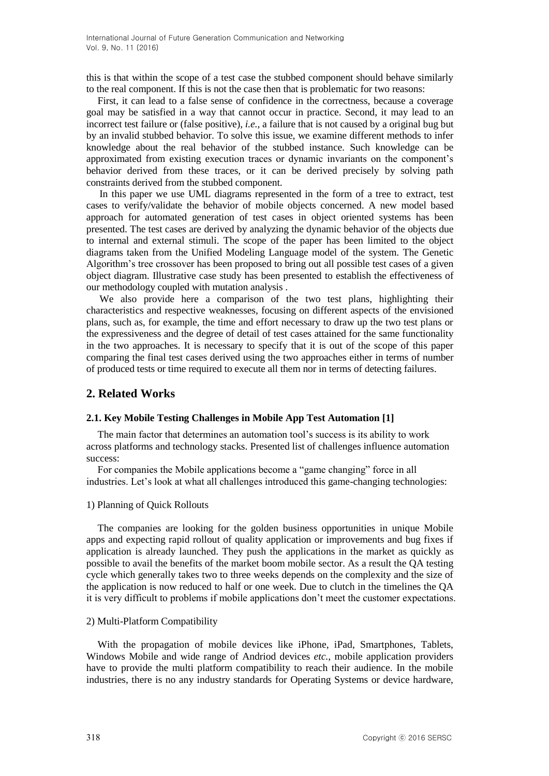this is that within the scope of a test case the stubbed component should behave similarly to the real component. If this is not the case then that is problematic for two reasons:

First, it can lead to a false sense of confidence in the correctness, because a coverage goal may be satisfied in a way that cannot occur in practice. Second, it may lead to an incorrect test failure or (false positive), *i.e.,* a failure that is not caused by a original bug but by an invalid stubbed behavior. To solve this issue, we examine different methods to infer knowledge about the real behavior of the stubbed instance. Such knowledge can be approximated from existing execution traces or dynamic invariants on the component's behavior derived from these traces, or it can be derived precisely by solving path constraints derived from the stubbed component.

In this paper we use UML diagrams represented in the form of a tree to extract, test cases to verify/validate the behavior of mobile objects concerned. A new model based approach for automated generation of test cases in object oriented systems has been presented. The test cases are derived by analyzing the dynamic behavior of the objects due to internal and external stimuli. The scope of the paper has been limited to the object diagrams taken from the Unified Modeling Language model of the system. The Genetic Algorithm's tree crossover has been proposed to bring out all possible test cases of a given object diagram. Illustrative case study has been presented to establish the effectiveness of our methodology coupled with mutation analysis .

We also provide here a comparison of the two test plans, highlighting their characteristics and respective weaknesses, focusing on different aspects of the envisioned plans, such as, for example, the time and effort necessary to draw up the two test plans or the expressiveness and the degree of detail of test cases attained for the same functionality in the two approaches. It is necessary to specify that it is out of the scope of this paper comparing the final test cases derived using the two approaches either in terms of number of produced tests or time required to execute all them nor in terms of detecting failures.

# **2. Related Works**

### **2.1. Key Mobile Testing Challenges in Mobile App Test Automation [1]**

The main factor that determines an automation tool's success is its ability to work across platforms and technology stacks. Presented list of challenges influence automation success:

For companies the Mobile applications become a "game changing" force in all industries. Let's look at what all challenges introduced this game-changing technologies:

### 1) Planning of Quick Rollouts

The companies are looking for the golden business opportunities in unique Mobile apps and expecting rapid rollout of quality application or improvements and bug fixes if application is already launched. They push the applications in the market as quickly as possible to avail the benefits of the market boom mobile sector. As a result the QA testing cycle which generally takes two to three weeks depends on the complexity and the size of the application is now reduced to half or one week. Due to clutch in the timelines the QA it is very difficult to problems if mobile applications don't meet the customer expectations.

### 2) Multi-Platform Compatibility

With the propagation of mobile devices like iPhone, iPad, Smartphones, Tablets, Windows Mobile and wide range of Andriod devices *etc.*, mobile application providers have to provide the multi platform compatibility to reach their audience. In the mobile industries, there is no any industry standards for Operating Systems or device hardware,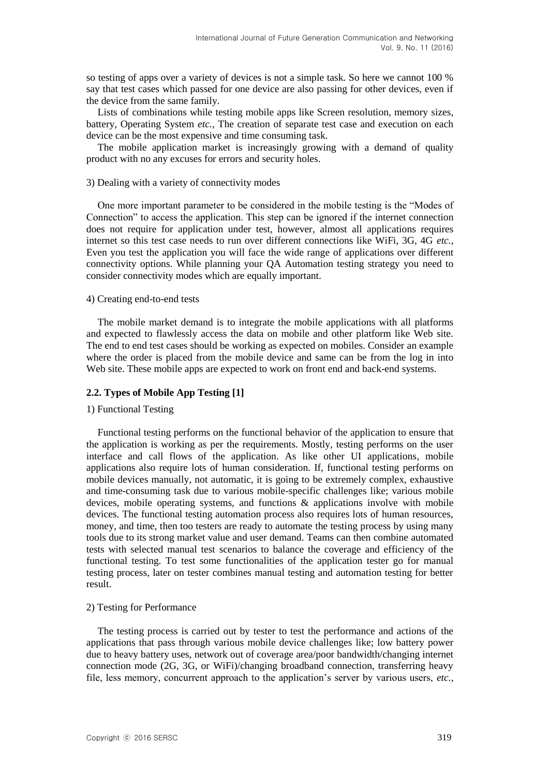so testing of apps over a variety of devices is not a simple task. So here we cannot 100 % say that test cases which passed for one device are also passing for other devices, even if the device from the same family.

Lists of combinations while testing mobile apps like Screen resolution, memory sizes, battery, Operating System *etc.,* The creation of separate test case and execution on each device can be the most expensive and time consuming task.

The mobile application market is increasingly growing with a demand of quality product with no any excuses for errors and security holes.

#### 3) Dealing with a variety of connectivity modes

One more important parameter to be considered in the mobile testing is the "Modes of Connection" to access the application. This step can be ignored if the internet connection does not require for application under test, however, almost all applications requires internet so this test case needs to run over different connections like WiFi, 3G, 4G *etc.,* Even you test the application you will face the wide range of applications over different connectivity options. While planning your QA Automation testing strategy you need to consider connectivity modes which are equally important.

#### 4) Creating end-to-end tests

The mobile market demand is to integrate the mobile applications with all platforms and expected to flawlessly access the data on mobile and other platform like Web site. The end to end test cases should be working as expected on mobiles. Consider an example where the order is placed from the mobile device and same can be from the log in into Web site. These mobile apps are expected to work on front end and back-end systems.

### **2.2. Types of Mobile App Testing [1]**

#### 1) Functional Testing

Functional testing performs on the functional behavior of the application to ensure that the application is working as per the requirements. Mostly, testing performs on the user interface and call flows of the application. As like other UI applications, mobile applications also require lots of human consideration. If, functional testing performs on mobile devices manually, not automatic, it is going to be extremely complex, exhaustive and time-consuming task due to various mobile-specific challenges like; various mobile devices, mobile operating systems, and functions & applications involve with mobile devices. The functional testing automation process also requires lots of human resources, money, and time, then too testers are ready to automate the testing process by using many tools due to its strong market value and user demand. Teams can then combine automated tests with selected manual test scenarios to balance the coverage and efficiency of the functional testing. To test some functionalities of the application tester go for manual testing process, later on tester combines manual testing and automation testing for better result.

#### 2) Testing for Performance

The testing process is carried out by tester to test the performance and actions of the applications that pass through various mobile device challenges like; low battery power due to heavy battery uses, network out of coverage area/poor bandwidth/changing internet connection mode (2G, 3G, or WiFi)/changing broadband connection, transferring heavy file, less memory, concurrent approach to the application's server by various users, *etc.,*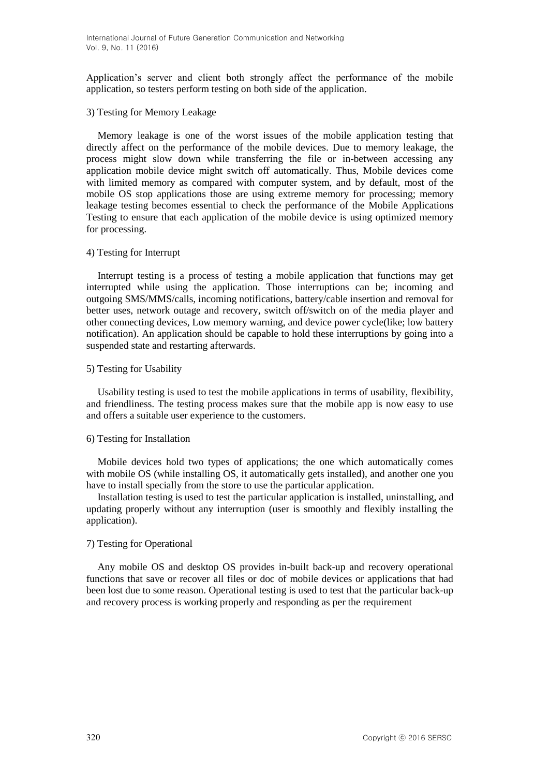Application's server and client both strongly affect the performance of the mobile application, so testers perform testing on both side of the application.

#### 3) Testing for Memory Leakage

Memory leakage is one of the worst issues of the mobile application testing that directly affect on the performance of the mobile devices. Due to memory leakage, the process might slow down while transferring the file or in-between accessing any application mobile device might switch off automatically. Thus, Mobile devices come with limited memory as compared with computer system, and by default, most of the mobile OS stop applications those are using extreme memory for processing; memory leakage testing becomes essential to check the performance of the Mobile Applications Testing to ensure that each application of the mobile device is using optimized memory for processing.

#### 4) Testing for Interrupt

Interrupt testing is a process of testing a mobile application that functions may get interrupted while using the application. Those interruptions can be; incoming and outgoing SMS/MMS/calls, incoming notifications, battery/cable insertion and removal for better uses, network outage and recovery, switch off/switch on of the media player and other connecting devices, Low memory warning, and device power cycle(like; low battery notification). An application should be capable to hold these interruptions by going into a suspended state and restarting afterwards.

#### 5) Testing for Usability

Usability testing is used to test the mobile applications in terms of usability, flexibility, and friendliness. The testing process makes sure that the mobile app is now easy to use and offers a suitable user experience to the customers.

### 6) Testing for Installation

Mobile devices hold two types of applications; the one which automatically comes with mobile OS (while installing OS, it automatically gets installed), and another one you have to install specially from the store to use the particular application.

Installation testing is used to test the particular application is installed, uninstalling, and updating properly without any interruption (user is smoothly and flexibly installing the application).

### 7) Testing for Operational

Any mobile OS and desktop OS provides in-built back-up and recovery operational functions that save or recover all files or doc of mobile devices or applications that had been lost due to some reason. Operational testing is used to test that the particular back-up and recovery process is working properly and responding as per the requirement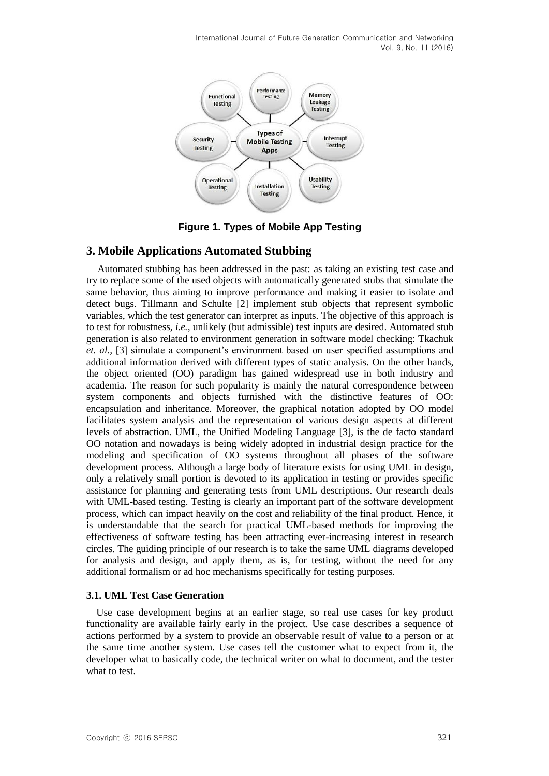

**Figure 1. Types of Mobile App Testing**

# **3. Mobile Applications Automated Stubbing**

Automated stubbing has been addressed in the past: as taking an existing test case and try to replace some of the used objects with automatically generated stubs that simulate the same behavior, thus aiming to improve performance and making it easier to isolate and detect bugs. Tillmann and Schulte [2] implement stub objects that represent symbolic variables, which the test generator can interpret as inputs. The objective of this approach is to test for robustness, *i.e.,* unlikely (but admissible) test inputs are desired. Automated stub generation is also related to environment generation in software model checking: Tkachuk *et. al.,* [3] simulate a component's environment based on user specified assumptions and additional information derived with different types of static analysis. On the other hands, the object oriented (OO) paradigm has gained widespread use in both industry and academia. The reason for such popularity is mainly the natural correspondence between system components and objects furnished with the distinctive features of OO: encapsulation and inheritance. Moreover, the graphical notation adopted by OO model facilitates system analysis and the representation of various design aspects at different levels of abstraction. UML, the Unified Modeling Language [3], is the de facto standard OO notation and nowadays is being widely adopted in industrial design practice for the modeling and specification of OO systems throughout all phases of the software development process. Although a large body of literature exists for using UML in design, only a relatively small portion is devoted to its application in testing or provides specific assistance for planning and generating tests from UML descriptions. Our research deals with UML-based testing. Testing is clearly an important part of the software development process, which can impact heavily on the cost and reliability of the final product. Hence, it is understandable that the search for practical UML-based methods for improving the effectiveness of software testing has been attracting ever-increasing interest in research circles. The guiding principle of our research is to take the same UML diagrams developed for analysis and design, and apply them, as is, for testing, without the need for any additional formalism or ad hoc mechanisms specifically for testing purposes.

### **3.1. UML Test Case Generation**

Use case development begins at an earlier stage, so real use cases for key product functionality are available fairly early in the project. Use case describes a sequence of actions performed by a system to provide an observable result of value to a person or at the same time another system. Use cases tell the customer what to expect from it, the developer what to basically code, the technical writer on what to document, and the tester what to test.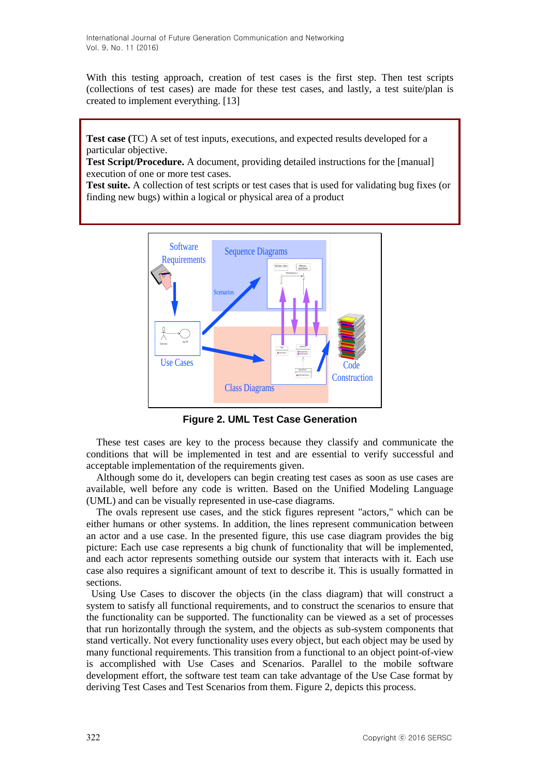With this testing approach, creation of test cases is the first step. Then test scripts (collections of test cases) are made for these test cases, and lastly, a test suite/plan is created to implement everything. [13]

**Test case (**TC) A set of test inputs, executions, and expected results developed for a particular objective.

**Test Script/Procedure.** A document, providing detailed instructions for the [manual] execution of one or more test cases.

**Test suite.** A collection of test scripts or test cases that is used for validating bug fixes (or finding new bugs) within a logical or physical area of a product



**Figure 2. UML Test Case Generation**

These test cases are key to the process because they classify and communicate the conditions that will be implemented in test and are essential to verify successful and acceptable implementation of the requirements given.

Although some do it, developers can begin creating test cases as soon as use cases are available, well before any code is written. Based on the Unified Modeling Language (UML) and can be visually represented in use-case diagrams.

The ovals represent use cases, and the stick figures represent "actors," which can be either humans or other systems. In addition, the lines represent communication between an actor and a use case. In the presented figure, this use case diagram provides the big picture: Each use case represents a big chunk of functionality that will be implemented, and each actor represents something outside our system that interacts with it. Each use case also requires a significant amount of text to describe it. This is usually formatted in sections.

Using Use Cases to discover the objects (in the class diagram) that will construct a system to satisfy all functional requirements, and to construct the scenarios to ensure that the functionality can be supported. The functionality can be viewed as a set of processes that run horizontally through the system, and the objects as sub-system components that stand vertically. Not every functionality uses every object, but each object may be used by many functional requirements. This transition from a functional to an object point-of-view is accomplished with Use Cases and Scenarios. Parallel to the mobile software development effort, the software test team can take advantage of the Use Case format by deriving Test Cases and Test Scenarios from them. Figure 2, depicts this process.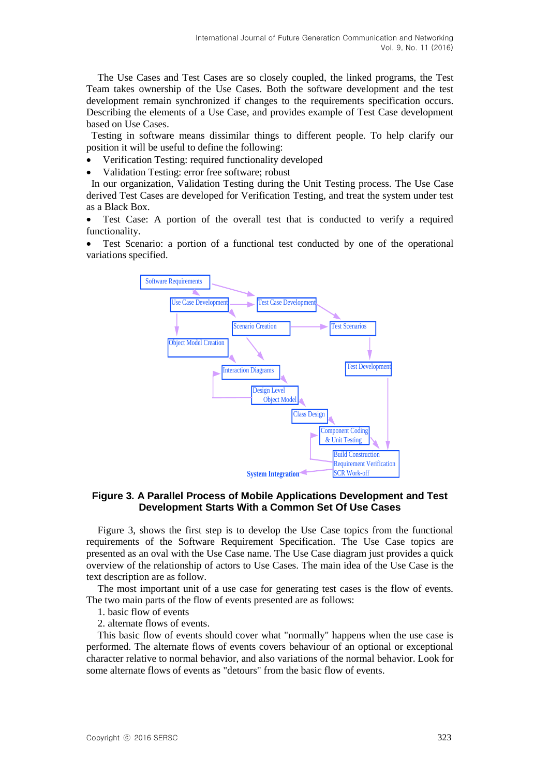The Use Cases and Test Cases are so closely coupled, the linked programs, the Test Team takes ownership of the Use Cases. Both the software development and the test development remain synchronized if changes to the requirements specification occurs. Describing the elements of a Use Case, and provides example of Test Case development based on Use Cases.

Testing in software means dissimilar things to different people. To help clarify our position it will be useful to define the following:

- Verification Testing: required functionality developed
- Validation Testing: error free software; robust

In our organization, Validation Testing during the Unit Testing process. The Use Case derived Test Cases are developed for Verification Testing, and treat the system under test as a Black Box.

 Test Case: A portion of the overall test that is conducted to verify a required functionality.

 Test Scenario: a portion of a functional test conducted by one of the operational variations specified.



### **Figure 3. A Parallel Process of Mobile Applications Development and Test Development Starts With a Common Set Of Use Cases**

Figure 3, shows the first step is to develop the Use Case topics from the functional requirements of the Software Requirement Specification. The Use Case topics are presented as an oval with the Use Case name. The Use Case diagram just provides a quick overview of the relationship of actors to Use Cases. The main idea of the Use Case is the text description are as follow.

The most important unit of a use case for generating test cases is the flow of events. The two main parts of the flow of events presented are as follows:

- 1. basic flow of events
- 2. alternate flows of events.

This basic flow of events should cover what "normally" happens when the use case is performed. The alternate flows of events covers behaviour of an optional or exceptional character relative to normal behavior, and also variations of the normal behavior. Look for some alternate flows of events as "detours" from the basic flow of events.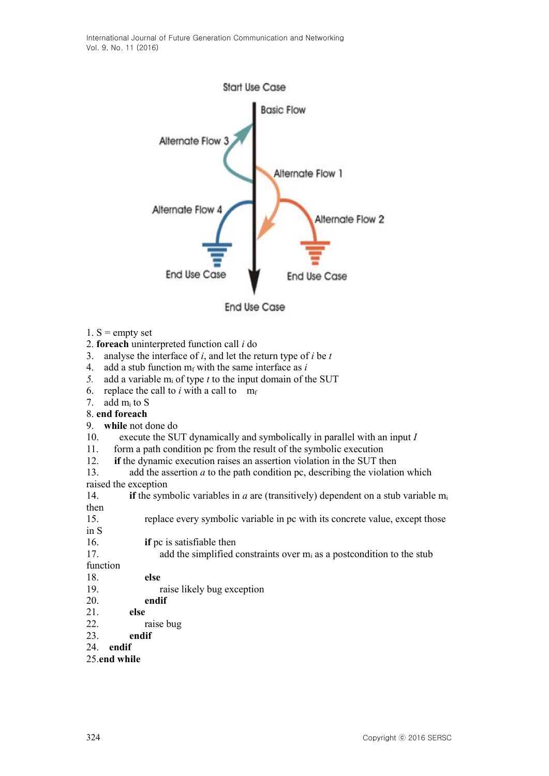International Journal of Future Generation Communication and Networking Vol. 9, No. 11 (2016)



1.  $S =$  empty set

### 2. **foreach** uninterpreted function call *i* do

- 3. analyse the interface of *i*, and let the return type of *i* be *t*
- 4. add a stub function  $m_f$  with the same interface as *i*
- *5.* add a variable m<sup>i</sup> of type *t* to the input domain of the SUT
- 6. replace the call to *i* with a call to  $m_f$

### 7. add m<sup>i</sup> to S

### 8. **end foreach**

- 9. **while** not done do
- 10. execute the SUT dynamically and symbolically in parallel with an input *I*
- 11. form a path condition pc from the result of the symbolic execution
- 12. **if** the dynamic execution raises an assertion violation in the SUT then

13. add the assertion *a* to the path condition pc, describing the violation which raised the exception

14. **if** the symbolic variables in *a* are (transitively) dependent on a stub variable m<sup>i</sup> then

- 15. replace every symbolic variable in pc with its concrete value, except those in S
- 16. **if** pc is satisfiable then
- 17. add the simplified constraints over  $m_i$  as a postcondition to the stub
- function
- 18. **else**
- 19. raise likely bug exception
- 20. **endif**
- 21. **else**
- 22. raise bug
- 23. **endif**

# 24. **endif**

## 25.**end while**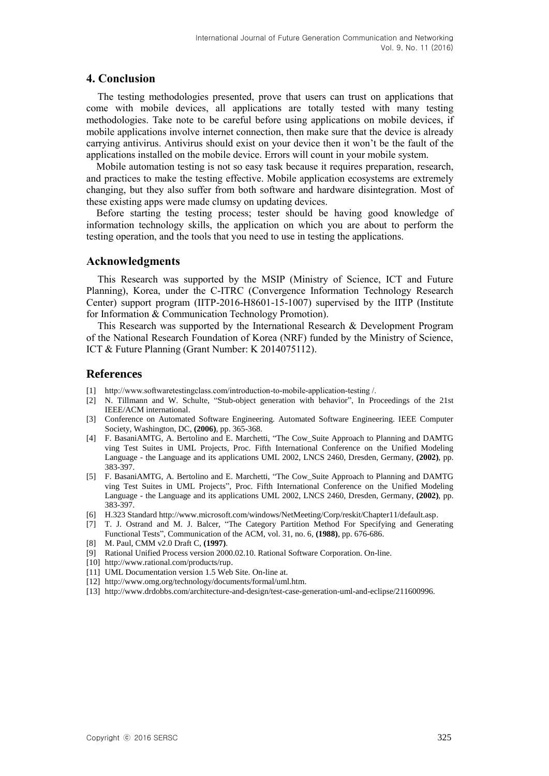# **4. Conclusion**

The testing methodologies presented, prove that users can trust on applications that come with mobile devices, all applications are totally tested with many testing methodologies. Take note to be careful before using applications on mobile devices, if mobile applications involve internet connection, then make sure that the device is already carrying antivirus. Antivirus should exist on your device then it won't be the fault of the applications installed on the mobile device. Errors will count in your mobile system.

Mobile automation testing is not so easy task because it requires preparation, research, and practices to make the testing effective. Mobile application ecosystems are extremely changing, but they also suffer from both software and hardware disintegration. Most of these existing apps were made clumsy on updating devices.

Before starting the testing process; tester should be having good knowledge of information technology skills, the application on which you are about to perform the testing operation, and the tools that you need to use in testing the applications.

# **Acknowledgments**

This Research was supported by the MSIP (Ministry of Science, ICT and Future Planning), Korea, under the C-ITRC (Convergence Information Technology Research Center) support program (IITP-2016-H8601-15-1007) supervised by the IITP (Institute for Information & Communication Technology Promotion).

This Research was supported by the International Research & Development Program of the National Research Foundation of Korea (NRF) funded by the Ministry of Science, ICT & Future Planning (Grant Number: K 2014075112).

# **References**

- [1] [http://www.softwaretestingclass.com/introduction-to-mobile-application-testing /.](http://www.softwaretestingclass.com/introduction-to-mobile-application-testing%20/)
- [2] N. Tillmann and W. Schulte, "Stub-object generation with behavior", In Proceedings of the 21st IEEE/ACM international.
- [3] Conference on Automated Software Engineering. Automated Software Engineering. IEEE Computer Society, Washington, DC, **(2006)**, pp. 365-368.
- [4] F. BasaniAMTG, A. Bertolino and E. Marchetti, "The Cow\_Suite Approach to Planning and DAMTG ving Test Suites in UML Projects, Proc. Fifth International Conference on the Unified Modeling Language - the Language and its applications UML 2002, LNCS 2460, Dresden, Germany, **(2002)**, pp. 383-397.
- [5] F. BasaniAMTG, A. Bertolino and E. Marchetti, "The Cow\_Suite Approach to Planning and DAMTG ving Test Suites in UML Projects", Proc. Fifth International Conference on the Unified Modeling Language - the Language and its applications UML 2002, LNCS 2460, Dresden, Germany, **(2002)**, pp. 383-397.
- [6] H.323 Standard http://www.microsoft.com/windows/NetMeeting/Corp/reskit/Chapter11/default.asp.
- [7] T. J. Ostrand and M. J. Balcer, "The Category Partition Method For Specifying and Generating Functional Tests", Communication of the ACM, vol. 31, no. 6, **(1988)**, pp. 676-686.
- [8] M. Paul, CMM v2.0 Draft C, **(1997)**.
- [9] Rational Unified Process version 2000.02.10. Rational Software Corporation. On-line.
- [10] [http://www.rational.com/products/rup.](http://www.rational.com/products/rup)
- [11] UML Documentation version 1.5 Web Site. On-line at.
- [12] [http://www.omg.org/technology/documents/formal/uml.htm.](http://www.omg.org/technology/documents/formal/uml.htm)
- [13] http://www.drdobbs.com/architecture-and-design/test-case-generation-uml-and-eclipse/211600996.